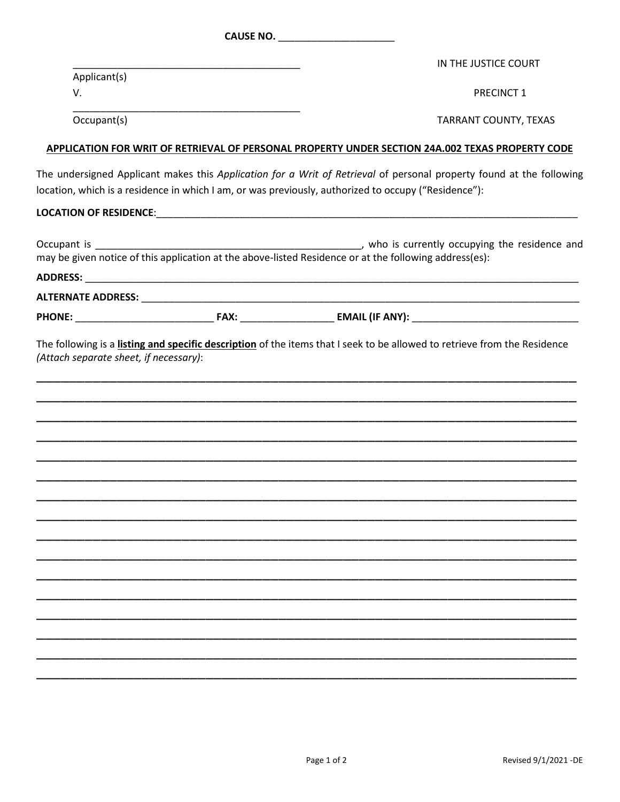|              | CAUSE NO.                                                                                                                                                                                                                    |
|--------------|------------------------------------------------------------------------------------------------------------------------------------------------------------------------------------------------------------------------------|
|              | IN THE JUSTICE COURT                                                                                                                                                                                                         |
| Applicant(s) |                                                                                                                                                                                                                              |
| V.           | <b>PRECINCT 1</b>                                                                                                                                                                                                            |
| Occupant(s)  | TARRANT COUNTY, TEXAS                                                                                                                                                                                                        |
|              | APPLICATION FOR WRIT OF RETRIEVAL OF PERSONAL PROPERTY UNDER SECTION 24A.002 TEXAS PROPERTY CODE                                                                                                                             |
|              | The undersigned Applicant makes this Application for a Writ of Retrieval of personal property found at the following<br>location, which is a residence in which I am, or was previously, authorized to occupy ("Residence"): |
|              |                                                                                                                                                                                                                              |
|              | may be given notice of this application at the above-listed Residence or at the following address(es):                                                                                                                       |
|              |                                                                                                                                                                                                                              |
|              |                                                                                                                                                                                                                              |
|              |                                                                                                                                                                                                                              |
|              |                                                                                                                                                                                                                              |
|              |                                                                                                                                                                                                                              |
|              |                                                                                                                                                                                                                              |
|              |                                                                                                                                                                                                                              |
|              |                                                                                                                                                                                                                              |
|              |                                                                                                                                                                                                                              |
|              |                                                                                                                                                                                                                              |
|              |                                                                                                                                                                                                                              |
|              |                                                                                                                                                                                                                              |